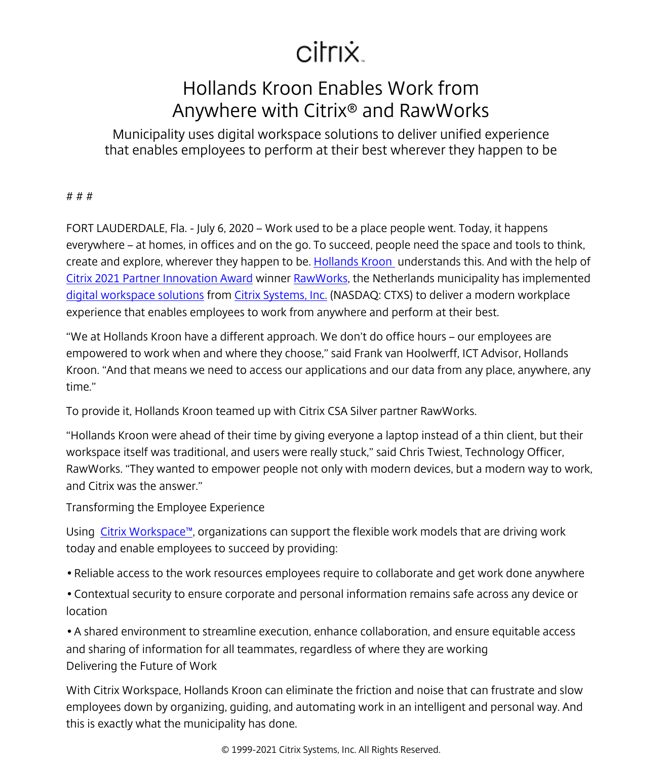## citrix.

## Hollands Kroon Enables Work from Anywhere with Citrix® and RawWorks

Municipality uses digital workspace solutions to deliver unified experience that enables employees to perform at their best wherever they happen to be

# # #

FORT LAUDERDALE, Fla. - July 6, 2020 – Work used to be a place people went. Today, it happens everywhere – at homes, in offices and on the go. To succeed, people need the space and tools to think, create and explore, wherever they happen to be. [Hollands Kroon](/content/citrix/en-id/customers/hollands-kroon-en.html) understands this. And with the help of [Citrix 2021 Partner Innovation Award](/content/citrix/en-id/go/innovation/partner-innovation.html) winner [RawWorks](https://www.rawworks.nl/home/), the Netherlands municipality has implemented [digital workspace solutions](/content/citrix/en-id/products.html) from [Citrix Systems, Inc.](/content/citrix/en-id/
            .html) (NASDAQ: CTXS) to deliver a modern workplace experience that enables employees to work from anywhere and perform at their best.

"We at Hollands Kroon have a different approach. We don't do office hours – our employees are empowered to work when and where they choose," said Frank van Hoolwerff, ICT Advisor, Hollands Kroon. "And that means we need to access our applications and our data from any place, anywhere, any time."

To provide it, Hollands Kroon teamed up with Citrix CSA Silver partner RawWorks.

"Hollands Kroon were ahead of their time by giving everyone a laptop instead of a thin client, but their workspace itself was traditional, and users were really stuck," said Chris Twiest, Technology Officer, RawWorks. "They wanted to empower people not only with modern devices, but a modern way to work, and Citrix was the answer."

Transforming the Employee Experience

Using [Citrix Workspace™](/content/citrix/en-id/products/citrix-workspace/
            .html), organizations can support the flexible work models that are driving work today and enable employees to succeed by providing:

- Reliable access to the work resources employees require to collaborate and get work done anywhere
- Contextual security to ensure corporate and personal information remains safe across any device or location

• A shared environment to streamline execution, enhance collaboration, and ensure equitable access and sharing of information for all teammates, regardless of where they are working Delivering the Future of Work

With Citrix Workspace, Hollands Kroon can eliminate the friction and noise that can frustrate and slow employees down by organizing, guiding, and automating work in an intelligent and personal way. And this is exactly what the municipality has done.

© 1999-2021 Citrix Systems, Inc. All Rights Reserved.